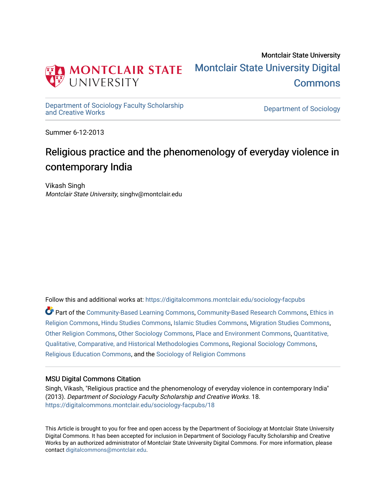

Montclair State University [Montclair State University Digital](https://digitalcommons.montclair.edu/)  [Commons](https://digitalcommons.montclair.edu/) 

[Department of Sociology Faculty Scholarship](https://digitalcommons.montclair.edu/sociology-facpubs)

Department of Sociology

Summer 6-12-2013

# Religious practice and the phenomenology of everyday violence in contemporary India

Vikash Singh Montclair State University, singhv@montclair.edu

Follow this and additional works at: [https://digitalcommons.montclair.edu/sociology-facpubs](https://digitalcommons.montclair.edu/sociology-facpubs?utm_source=digitalcommons.montclair.edu%2Fsociology-facpubs%2F18&utm_medium=PDF&utm_campaign=PDFCoverPages)

Part of the [Community-Based Learning Commons,](http://network.bepress.com/hgg/discipline/1046?utm_source=digitalcommons.montclair.edu%2Fsociology-facpubs%2F18&utm_medium=PDF&utm_campaign=PDFCoverPages) [Community-Based Research Commons](http://network.bepress.com/hgg/discipline/1047?utm_source=digitalcommons.montclair.edu%2Fsociology-facpubs%2F18&utm_medium=PDF&utm_campaign=PDFCoverPages), [Ethics in](http://network.bepress.com/hgg/discipline/541?utm_source=digitalcommons.montclair.edu%2Fsociology-facpubs%2F18&utm_medium=PDF&utm_campaign=PDFCoverPages) [Religion Commons](http://network.bepress.com/hgg/discipline/541?utm_source=digitalcommons.montclair.edu%2Fsociology-facpubs%2F18&utm_medium=PDF&utm_campaign=PDFCoverPages), [Hindu Studies Commons](http://network.bepress.com/hgg/discipline/1345?utm_source=digitalcommons.montclair.edu%2Fsociology-facpubs%2F18&utm_medium=PDF&utm_campaign=PDFCoverPages), [Islamic Studies Commons](http://network.bepress.com/hgg/discipline/1346?utm_source=digitalcommons.montclair.edu%2Fsociology-facpubs%2F18&utm_medium=PDF&utm_campaign=PDFCoverPages), [Migration Studies Commons](http://network.bepress.com/hgg/discipline/1394?utm_source=digitalcommons.montclair.edu%2Fsociology-facpubs%2F18&utm_medium=PDF&utm_campaign=PDFCoverPages), [Other Religion Commons,](http://network.bepress.com/hgg/discipline/545?utm_source=digitalcommons.montclair.edu%2Fsociology-facpubs%2F18&utm_medium=PDF&utm_campaign=PDFCoverPages) [Other Sociology Commons](http://network.bepress.com/hgg/discipline/434?utm_source=digitalcommons.montclair.edu%2Fsociology-facpubs%2F18&utm_medium=PDF&utm_campaign=PDFCoverPages), [Place and Environment Commons](http://network.bepress.com/hgg/discipline/424?utm_source=digitalcommons.montclair.edu%2Fsociology-facpubs%2F18&utm_medium=PDF&utm_campaign=PDFCoverPages), [Quantitative,](http://network.bepress.com/hgg/discipline/423?utm_source=digitalcommons.montclair.edu%2Fsociology-facpubs%2F18&utm_medium=PDF&utm_campaign=PDFCoverPages) [Qualitative, Comparative, and Historical Methodologies Commons,](http://network.bepress.com/hgg/discipline/423?utm_source=digitalcommons.montclair.edu%2Fsociology-facpubs%2F18&utm_medium=PDF&utm_campaign=PDFCoverPages) [Regional Sociology Commons](http://network.bepress.com/hgg/discipline/427?utm_source=digitalcommons.montclair.edu%2Fsociology-facpubs%2F18&utm_medium=PDF&utm_campaign=PDFCoverPages), [Religious Education Commons](http://network.bepress.com/hgg/discipline/1414?utm_source=digitalcommons.montclair.edu%2Fsociology-facpubs%2F18&utm_medium=PDF&utm_campaign=PDFCoverPages), and the [Sociology of Religion Commons](http://network.bepress.com/hgg/discipline/1365?utm_source=digitalcommons.montclair.edu%2Fsociology-facpubs%2F18&utm_medium=PDF&utm_campaign=PDFCoverPages) 

# MSU Digital Commons Citation

Singh, Vikash, "Religious practice and the phenomenology of everyday violence in contemporary India" (2013). Department of Sociology Faculty Scholarship and Creative Works. 18. [https://digitalcommons.montclair.edu/sociology-facpubs/18](https://digitalcommons.montclair.edu/sociology-facpubs/18?utm_source=digitalcommons.montclair.edu%2Fsociology-facpubs%2F18&utm_medium=PDF&utm_campaign=PDFCoverPages) 

This Article is brought to you for free and open access by the Department of Sociology at Montclair State University Digital Commons. It has been accepted for inclusion in Department of Sociology Faculty Scholarship and Creative Works by an authorized administrator of Montclair State University Digital Commons. For more information, please contact [digitalcommons@montclair.edu](mailto:digitalcommons@montclair.edu).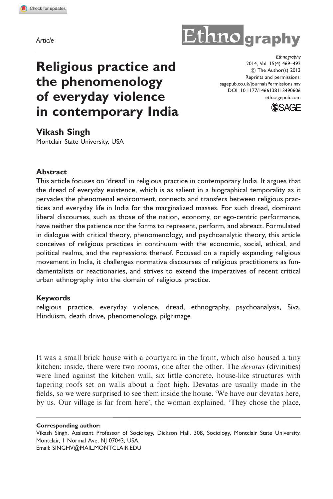Article

# Ethno graphy

# Religious practice and the phenomenology of everyday violence in contemporary India

**Ethnography** 2014, Vol. 15(4) 469–492 (C) The Author(s) 2013 Reprints and permissions: sagepub.co.uk/journalsPermissions.nav DOI: 10.1177/1466138113490606 eth.sagepub.com



Vikash Singh

Montclair State University, USA

#### Abstract

This article focuses on 'dread' in religious practice in contemporary India. It argues that the dread of everyday existence, which is as salient in a biographical temporality as it pervades the phenomenal environment, connects and transfers between religious practices and everyday life in India for the marginalized masses. For such dread, dominant liberal discourses, such as those of the nation, economy, or ego-centric performance, have neither the patience nor the forms to represent, perform, and abreact. Formulated in dialogue with critical theory, phenomenology, and psychoanalytic theory, this article conceives of religious practices in continuum with the economic, social, ethical, and political realms, and the repressions thereof. Focused on a rapidly expanding religious movement in India, it challenges normative discourses of religious practitioners as fundamentalists or reactionaries, and strives to extend the imperatives of recent critical urban ethnography into the domain of religious practice.

#### Keywords

religious practice, everyday violence, dread, ethnography, psychoanalysis, Siva, Hinduism, death drive, phenomenology, pilgrimage

It was a small brick house with a courtyard in the front, which also housed a tiny kitchen; inside, there were two rooms, one after the other. The *devatas* (divinities) were lined against the kitchen wall, six little concrete, house-like structures with tapering roofs set on walls about a foot high. Devatas are usually made in the fields, so we were surprised to see them inside the house. 'We have our devatas here, by us. Our village is far from here', the woman explained. 'They chose the place,

Corresponding author:

Vikash Singh, Assistant Professor of Sociology, Dickson Hall, 308, Sociology, Montclair State University, Montclair, I Normal Ave, NJ 07043, USA. Email: SINGHV@MAIL.MONTCLAIR.EDU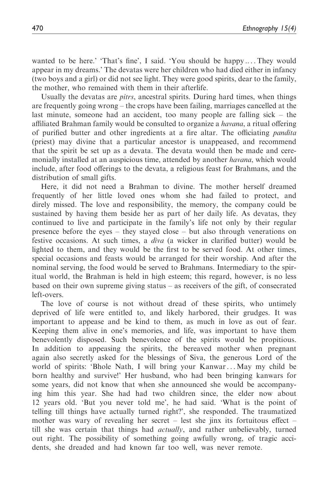wanted to be here.' 'That's fine', I said. 'You should be happy .... They would appear in my dreams.' The devatas were her children who had died either in infancy (two boys and a girl) or did not see light. They were good spirits, dear to the family, the mother, who remained with them in their afterlife.

Usually the devatas are *pitrs*, ancestral spirits. During hard times, when things are frequently going wrong – the crops have been failing, marriages cancelled at the last minute, someone had an accident, too many people are falling sick – the affiliated Brahman family would be consulted to organize a *havana*, a ritual offering of purified butter and other ingredients at a fire altar. The officiating pandita (priest) may divine that a particular ancestor is unappeased, and recommend that the spirit be set up as a devata. The devata would then be made and ceremonially installed at an auspicious time, attended by another *havana*, which would include, after food offerings to the devata, a religious feast for Brahmans, and the distribution of small gifts.

Here, it did not need a Brahman to divine. The mother herself dreamed frequently of her little loved ones whom she had failed to protect, and direly missed. The love and responsibility, the memory, the company could be sustained by having them beside her as part of her daily life. As devatas, they continued to live and participate in the family's life not only by their regular presence before the eyes – they stayed close – but also through venerations on festive occasions. At such times, a diva (a wicker in clarified butter) would be lighted to them, and they would be the first to be served food. At other times, special occasions and feasts would be arranged for their worship. And after the nominal serving, the food would be served to Brahmans. Intermediary to the spiritual world, the Brahman is held in high esteem; this regard, however, is no less based on their own supreme giving status – as receivers of the gift, of consecrated left-overs.

The love of course is not without dread of these spirits, who untimely deprived of life were entitled to, and likely harbored, their grudges. It was important to appease and be kind to them, as much in love as out of fear. Keeping them alive in one's memories, and life, was important to have them benevolently disposed. Such benevolence of the spirits would be propitious. In addition to appeasing the spirits, the bereaved mother when pregnant again also secretly asked for the blessings of Siva, the generous Lord of the world of spirits: 'Bhole Nath, I will bring your Kanwar... May my child be born healthy and survive!' Her husband, who had been bringing kanwars for some years, did not know that when she announced she would be accompanying him this year. She had had two children since, the elder now about 12 years old. 'But you never told me', he had said. 'What is the point of telling till things have actually turned right?', she responded. The traumatized mother was wary of revealing her secret – lest she jinx its fortuitous effect – till she was certain that things had *actually*, and rather unbelievably, turned out right. The possibility of something going awfully wrong, of tragic accidents, she dreaded and had known far too well, was never remote.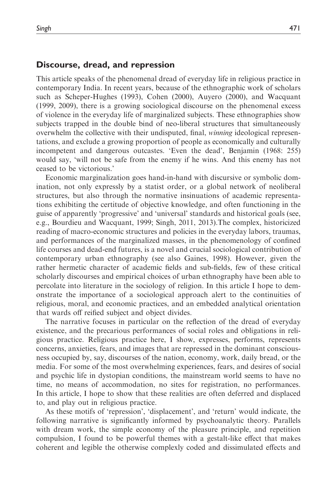#### Discourse, dread, and repression

This article speaks of the phenomenal dread of everyday life in religious practice in contemporary India. In recent years, because of the ethnographic work of scholars such as Scheper-Hughes (1993), Cohen (2000), Auyero (2000), and Wacquant (1999, 2009), there is a growing sociological discourse on the phenomenal excess of violence in the everyday life of marginalized subjects. These ethnographies show subjects trapped in the double bind of neo-liberal structures that simultaneously overwhelm the collective with their undisputed, final, winning ideological representations, and exclude a growing proportion of people as economically and culturally incompetent and dangerous outcastes. 'Even the dead', Benjamin (1968: 255) would say, 'will not be safe from the enemy if he wins. And this enemy has not ceased to be victorious.'

Economic marginalization goes hand-in-hand with discursive or symbolic domination, not only expressly by a statist order, or a global network of neoliberal structures, but also through the normative insinuations of academic representations exhibiting the certitude of objective knowledge, and often functioning in the guise of apparently 'progressive' and 'universal' standards and historical goals (see, e.g., Bourdieu and Wacquant, 1999; Singh, 2011, 2013).The complex, historicized reading of macro-economic structures and policies in the everyday labors, traumas, and performances of the marginalized masses, in the phenomenology of confined life courses and dead-end futures, is a novel and crucial sociological contribution of contemporary urban ethnography (see also Gaines, 1998). However, given the rather hermetic character of academic fields and sub-fields, few of these critical scholarly discourses and empirical choices of urban ethnography have been able to percolate into literature in the sociology of religion. In this article I hope to demonstrate the importance of a sociological approach alert to the continuities of religious, moral, and economic practices, and an embedded analytical orientation that wards off reified subject and object divides.

The narrative focuses in particular on the reflection of the dread of everyday existence, and the precarious performances of social roles and obligations in religious practice. Religious practice here, I show, expresses, performs, represents concerns, anxieties, fears, and images that are repressed in the dominant consciousness occupied by, say, discourses of the nation, economy, work, daily bread, or the media. For some of the most overwhelming experiences, fears, and desires of social and psychic life in dystopian conditions, the mainstream world seems to have no time, no means of accommodation, no sites for registration, no performances. In this article, I hope to show that these realities are often deferred and displaced to, and play out in religious practice.

As these motifs of 'repression', 'displacement', and 'return' would indicate, the following narrative is significantly informed by psychoanalytic theory. Parallels with dream work, the simple economy of the pleasure principle, and repetition compulsion, I found to be powerful themes with a gestalt-like effect that makes coherent and legible the otherwise complexly coded and dissimulated effects and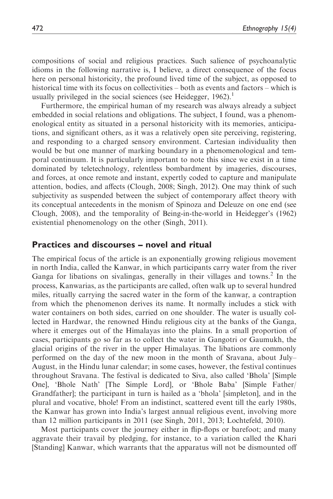compositions of social and religious practices. Such salience of psychoanalytic idioms in the following narrative is, I believe, a direct consequence of the focus here on personal historicity, the profound lived time of the subject, as opposed to historical time with its focus on collectivities – both as events and factors – which is usually privileged in the social sciences (see Heidegger,  $1962$ ).<sup>1</sup>

Furthermore, the empirical human of my research was always already a subject embedded in social relations and obligations. The subject, I found, was a phenomenological entity as situated in a personal historicity with its memories, anticipations, and significant others, as it was a relatively open site perceiving, registering, and responding to a charged sensory environment. Cartesian individuality then would be but one manner of marking boundary in a phenomenological and temporal continuum. It is particularly important to note this since we exist in a time dominated by teletechnology, relentless bombardment by imageries, discourses, and forces, at once remote and instant, expertly coded to capture and manipulate attention, bodies, and affects (Clough, 2008; Singh, 2012). One may think of such subjectivity as suspended between the subject of contemporary affect theory with its conceptual antecedents in the monism of Spinoza and Deleuze on one end (see Clough, 2008), and the temporality of Being-in-the-world in Heidegger's (1962) existential phenomenology on the other (Singh, 2011).

#### Practices and discourses – novel and ritual

The empirical focus of the article is an exponentially growing religious movement in north India, called the Kanwar, in which participants carry water from the river Ganga for libations on sivalingas, generally in their villages and towns.<sup>2</sup> In the process, Kanwarias, as the participants are called, often walk up to several hundred miles, ritually carrying the sacred water in the form of the kanwar, a contraption<br>from which the phenomenon derives its name. It normally includes a stick with from which the phenomenon derives its name. It normally includes a stick with water containers on both sides, carried on one shoulder. The water is usually collected in Hardwar, the renowned Hindu religious city at the banks of the Ganga, where it emerges out of the Himalayas into the plains. In a small proportion of cases, participants go so far as to collect the water in Gangotri or Gaumukh, the glacial origins of the river in the upper Himalayas. The libations are commonly performed on the day of the new moon in the month of Sravana, about July– August, in the Hindu lunar calendar; in some cases, however, the festival continues throughout Sravana. The festival is dedicated to Siva, also called 'Bhola' [Simple One], 'Bhole Nath' [The Simple Lord], or 'Bhole Baba' [Simple Father/ Grandfather]; the participant in turn is hailed as a 'bhola' [simpleton], and in the plural and vocative, bhole! From an indistinct, scattered event till the early 1980s, the Kanwar has grown into India's largest annual religious event, involving more than 12 million participants in 2011 (see Singh, 2011, 2013; Lochtefeld, 2010).

Most participants cover the journey either in flip-flops or barefoot; and many aggravate their travail by pledging, for instance, to a variation called the Khari [Standing] Kanwar, which warrants that the apparatus will not be dismounted off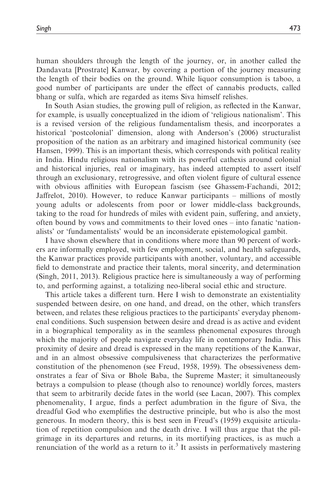Singh 473

human shoulders through the length of the journey, or, in another called the Dandavata [Prostrate] Kanwar, by covering a portion of the journey measuring the length of their bodies on the ground. While liquor consumption is taboo, a good number of participants are under the effect of cannabis products, called bhang or sulfa, which are regarded as items Siva himself relishes.

In South Asian studies, the growing pull of religion, as reflected in the Kanwar, for example, is usually conceptualized in the idiom of 'religious nationalism'. This is a revised version of the religious fundamentalism thesis, and incorporates a historical 'postcolonial' dimension, along with Anderson's (2006) structuralist proposition of the nation as an arbitrary and imagined historical community (see Hansen, 1999). This is an important thesis, which corresponds with political reality in India. Hindu religious nationalism with its powerful cathexis around colonial and historical injuries, real or imaginary, has indeed attempted to assert itself through an exclusionary, retrogressive, and often violent figure of cultural essence with obvious affinities with European fascism (see Ghassem-Fachandi, 2012; Jaffrelot, 2010). However, to reduce Kanwar participants – millions of mostly young adults or adolescents from poor or lower middle-class backgrounds, taking to the road for hundreds of miles with evident pain, suffering, and anxiety, often bound by vows and commitments to their loved ones – into fanatic 'nationalists' or 'fundamentalists' would be an inconsiderate epistemological gambit.

I have shown elsewhere that in conditions where more than 90 percent of workers are informally employed, with few employment, social, and health safeguards, the Kanwar practices provide participants with another, voluntary, and accessible field to demonstrate and practice their talents, moral sincerity, and determination (Singh, 2011, 2013). Religious practice here is simultaneously a way of performing to, and performing against, a totalizing neo-liberal social ethic and structure.

This article takes a different turn. Here I wish to demonstrate an existentiality suspended between desire, on one hand, and dread, on the other, which transfers between, and relates these religious practices to the participants' everyday phenomenal conditions. Such suspension between desire and dread is as active and evident in a biographical temporality as in the seamless phenomenal exposures through which the majority of people navigate everyday life in contemporary India. This proximity of desire and dread is expressed in the many repetitions of the Kanwar, and in an almost obsessive compulsiveness that characterizes the performative constitution of the phenomenon (see Freud, 1958, 1959). The obsessiveness demonstrates a fear of Siva or Bhole Baba, the Supreme Master; it simultaneously betrays a compulsion to please (though also to renounce) worldly forces, masters that seem to arbitrarily decide fates in the world (see Lacan, 2007). This complex phenomenality, I argue, finds a perfect adumbration in the figure of Siva, the dreadful God who exemplifies the destructive principle, but who is also the most generous. In modern theory, this is best seen in Freud's (1959) exquisite articulation of repetition compulsion and the death drive. I will thus argue that the pilgrimage in its departures and returns, in its mortifying practices, is as much a renunciation of the world as a return to it.<sup>3</sup> It assists in performatively mastering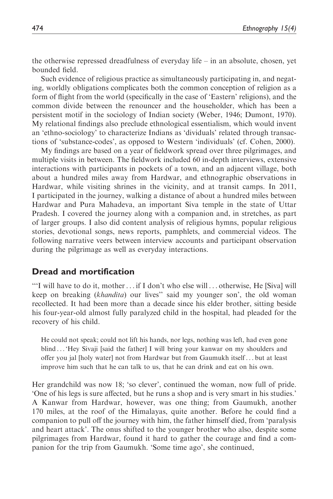the otherwise repressed dreadfulness of everyday life – in an absolute, chosen, yet bounded field.

Such evidence of religious practice as simultaneously participating in, and negating, worldly obligations complicates both the common conception of religion as a form of flight from the world (specifically in the case of 'Eastern' religions), and the common divide between the renouncer and the householder, which has been a persistent motif in the sociology of Indian society (Weber, 1946; Dumont, 1970). My relational findings also preclude ethnological essentialism, which would invent an 'ethno-sociology' to characterize Indians as 'dividuals' related through transactions of 'substance-codes', as opposed to Western 'individuals' (cf. Cohen, 2000).

My findings are based on a year of fieldwork spread over three pilgrimages, and multiple visits in between. The fieldwork included 60 in-depth interviews, extensive interactions with participants in pockets of a town, and an adjacent village, both about a hundred miles away from Hardwar, and ethnographic observations in Hardwar, while visiting shrines in the vicinity, and at transit camps. In 2011, I participated in the journey, walking a distance of about a hundred miles between Hardwar and Pura Mahadeva, an important Siva temple in the state of Uttar Pradesh. I covered the journey along with a companion and, in stretches, as part of larger groups. I also did content analysis of religious hymns, popular religious stories, devotional songs, news reports, pamphlets, and commercial videos. The following narrative veers between interview accounts and participant observation during the pilgrimage as well as everyday interactions.

#### Dread and mortification

'''I will have to do it, mother... if I don't who else will ... otherwise, He [Siva] will keep on breaking (khandita) our lives" said my younger son', the old woman recollected. It had been more than a decade since his elder brother, sitting beside his four-year-old almost fully paralyzed child in the hospital, had pleaded for the recovery of his child.

He could not speak; could not lift his hands, nor legs, nothing was left, had even gone blind ... 'Hey Sivaji [said the father] I will bring your kanwar on my shoulders and offer you jal [holy water] not from Hardwar but from Gaumukh itself ... but at least improve him such that he can talk to us, that he can drink and eat on his own.

Her grandchild was now 18; 'so clever', continued the woman, now full of pride. 'One of his legs is sure affected, but he runs a shop and is very smart in his studies.' A Kanwar from Hardwar, however, was one thing; from Gaumukh, another 170 miles, at the roof of the Himalayas, quite another. Before he could find a companion to pull off the journey with him, the father himself died, from 'paralysis and heart attack'. The onus shifted to the younger brother who also, despite some pilgrimages from Hardwar, found it hard to gather the courage and find a companion for the trip from Gaumukh. 'Some time ago', she continued,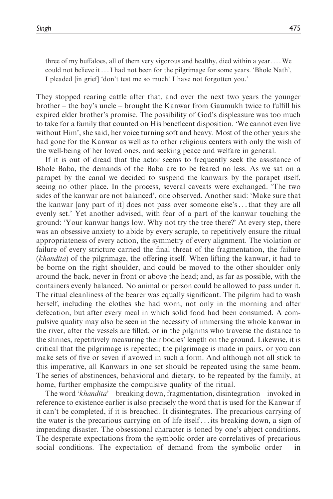three of my buffaloes, all of them very vigorous and healthy, died within a year. ... We could not believe it ...I had not been for the pilgrimage for some years. 'Bhole Nath', I pleaded [in grief] 'don't test me so much! I have not forgotten you.'

They stopped rearing cattle after that, and over the next two years the younger brother – the boy's uncle – brought the Kanwar from Gaumukh twice to fulfill his expired elder brother's promise. The possibility of God's displeasure was too much to take for a family that counted on His beneficent disposition. 'We cannot even live without Him', she said, her voice turning soft and heavy. Most of the other years she had gone for the Kanwar as well as to other religious centers with only the wish of the well-being of her loved ones, and seeking peace and welfare in general.

If it is out of dread that the actor seems to frequently seek the assistance of Bhole Baba, the demands of the Baba are to be feared no less. As we sat on a parapet by the canal we decided to suspend the kanwars by the parapet itself, seeing no other place. In the process, several caveats were exchanged. 'The two sides of the kanwar are not balanced', one observed. Another said: 'Make sure that the kanwar [any part of it] does not pass over someone else's... that they are all evenly set.' Yet another advised, with fear of a part of the kanwar touching the ground: 'Your kanwar hangs low. Why not try the tree there?' At every step, there was an obsessive anxiety to abide by every scruple, to repetitively ensure the ritual appropriateness of every action, the symmetry of every alignment. The violation or failure of every stricture carried the final threat of the fragmentation, the failure (khandita) of the pilgrimage, the offering itself. When lifting the kanwar, it had to be borne on the right shoulder, and could be moved to the other shoulder only around the back, never in front or above the head; and, as far as possible, with the containers evenly balanced. No animal or person could be allowed to pass under it. The ritual cleanliness of the bearer was equally significant. The pilgrim had to wash herself, including the clothes she had worn, not only in the morning and after defecation, but after every meal in which solid food had been consumed. A compulsive quality may also be seen in the necessity of immersing the whole kanwar in the river, after the vessels are filled; or in the pilgrims who traverse the distance to the shrines, repetitively measuring their bodies' length on the ground. Likewise, it is critical that the pilgrimage is repeated; the pilgrimage is made in pairs, or you can make sets of five or seven if avowed in such a form. And although not all stick to this imperative, all Kanwars in one set should be repeated using the same beam. The series of abstinences, behavioral and dietary, to be repeated by the family, at home, further emphasize the compulsive quality of the ritual.

The word 'khandita' – breaking down, fragmentation, disintegration – invoked in reference to existence earlier is also precisely the word that is used for the Kanwar if it can't be completed, if it is breached. It disintegrates. The precarious carrying of the water is the precarious carrying on of life itself ... its breaking down, a sign of impending disaster. The obsessional character is toned by one's abject conditions. The desperate expectations from the symbolic order are correlatives of precarious social conditions. The expectation of demand from the symbolic order – in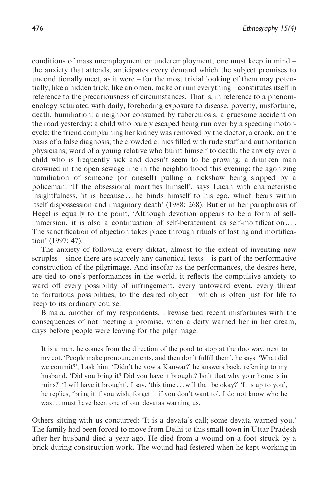conditions of mass unemployment or underemployment, one must keep in mind – the anxiety that attends, anticipates every demand which the subject promises to unconditionally meet, as it were – for the most trivial looking of them may potentially, like a hidden trick, like an omen, make or ruin everything – constitutes itself in reference to the precariousness of circumstances. That is, in reference to a phenomenology saturated with daily, foreboding exposure to disease, poverty, misfortune, death, humiliation: a neighbor consumed by tuberculosis; a gruesome accident on the road yesterday; a child who barely escaped being run over by a speeding motorcycle; the friend complaining her kidney was removed by the doctor, a crook, on the basis of a false diagnosis; the crowded clinics filled with rude staff and authoritarian physicians; word of a young relative who burnt himself to death; the anxiety over a child who is frequently sick and doesn't seem to be growing; a drunken man drowned in the open sewage line in the neighborhood this evening; the agonizing humiliation of someone (or oneself) pulling a rickshaw being slapped by a policeman. 'If the obsessional mortifies himself', says Lacan with characteristic insightfulness, 'it is because ... he binds himself to his ego, which bears within itself dispossession and imaginary death' (1988: 268). Butler in her paraphrasis of Hegel is equally to the point, 'Although devotion appears to be a form of selfimmersion, it is also a continuation of self-beratement as self-mortification .... The sanctification of abjection takes place through rituals of fasting and mortification' (1997: 47).

The anxiety of following every diktat, almost to the extent of inventing new scruples – since there are scarcely any canonical texts – is part of the performative construction of the pilgrimage. And insofar as the performances, the desires here, are tied to one's performances in the world, it reflects the compulsive anxiety to ward off every possibility of infringement, every untoward event, every threat to fortuitous possibilities, to the desired object – which is often just for life to keep to its ordinary course.

Bimala, another of my respondents, likewise tied recent misfortunes with the consequences of not meeting a promise, when a deity warned her in her dream, days before people were leaving for the pilgrimage:

It is a man, he comes from the direction of the pond to stop at the doorway, next to my cot. 'People make pronouncements, and then don't fulfill them', he says. 'What did we commit?', I ask him. 'Didn't he vow a Kanwar?' he answers back, referring to my husband. 'Did you bring it? Did you have it brought? Isn't that why your home is in ruins?' 'I will have it brought', I say, 'this time ... will that be okay?' 'It is up to you', he replies, 'bring it if you wish, forget it if you don't want to'. I do not know who he was... must have been one of our devatas warning us.

Others sitting with us concurred: 'It is a devata's call; some devata warned you.' The family had been forced to move from Delhi to this small town in Uttar Pradesh after her husband died a year ago. He died from a wound on a foot struck by a brick during construction work. The wound had festered when he kept working in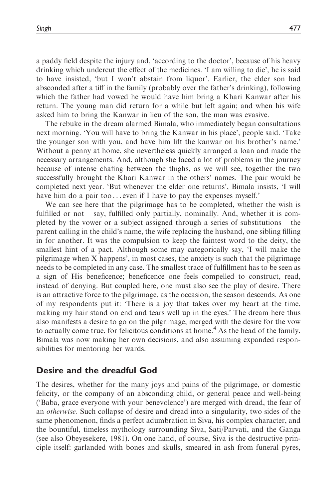a paddy field despite the injury and, 'according to the doctor', because of his heavy drinking which undercut the effect of the medicines. 'I am willing to die', he is said to have insisted, 'but I won't abstain from liquor'. Earlier, the elder son had absconded after a tiff in the family (probably over the father's drinking), following which the father had vowed he would have him bring a Khari Kanwar after his return. The young man did return for a while but left again; and when his wife asked him to bring the Kanwar in lieu of the son, the man was evasive.

The rebuke in the dream alarmed Bimala, who immediately began consultations next morning. 'You will have to bring the Kanwar in his place', people said. 'Take the younger son with you, and have him lift the kanwar on his brother's name.' Without a penny at home, she nevertheless quickly arranged a loan and made the necessary arrangements. And, although she faced a lot of problems in the journey because of intense chafing between the thighs, as we will see, together the two successfully brought the Khari Kanwar in the others' names. The pair would be<br>completed next year. 'But whenever the elder one returns'. Bimala insists. 'I will completed next year. 'But whenever the elder one returns', Bimala insists, 'I will have him do a pair too... even if I have to pay the expenses myself.'

We can see here that the pilgrimage has to be completed, whether the wish is fulfilled or not – say, fulfilled only partially, nominally. And, whether it is completed by the vower or a subject assigned through a series of substitutions – the parent calling in the child's name, the wife replacing the husband, one sibling filling in for another. It was the compulsion to keep the faintest word to the deity, the smallest hint of a pact. Although some may categorically say, 'I will make the pilgrimage when X happens', in most cases, the anxiety is such that the pilgrimage needs to be completed in any case. The smallest trace of fulfillment has to be seen as a sign of His beneficence; beneficence one feels compelled to construct, read, instead of denying. But coupled here, one must also see the play of desire. There is an attractive force to the pilgrimage, as the occasion, the season descends. As one of my respondents put it: 'There is a joy that takes over my heart at the time, making my hair stand on end and tears well up in the eyes.' The dream here thus also manifests a desire to go on the pilgrimage, merged with the desire for the vow to actually come true, for felicitous conditions at home.<sup>4</sup> As the head of the family, Bimala was now making her own decisions, and also assuming expanded responsibilities for mentoring her wards.

#### Desire and the dreadful God

The desires, whether for the many joys and pains of the pilgrimage, or domestic felicity, or the company of an absconding child, or general peace and well-being ('Baba, grace everyone with your benevolence') are merged with dread, the fear of an otherwise. Such collapse of desire and dread into a singularity, two sides of the same phenomenon, finds a perfect adumbration in Siva, his complex character, and the bountiful, timeless mythology surrounding Siva, Sati/Parvati, and the Ganga (see also Obeyesekere, 1981). On one hand, of course, Siva is the destructive principle itself: garlanded with bones and skulls, smeared in ash from funeral pyres,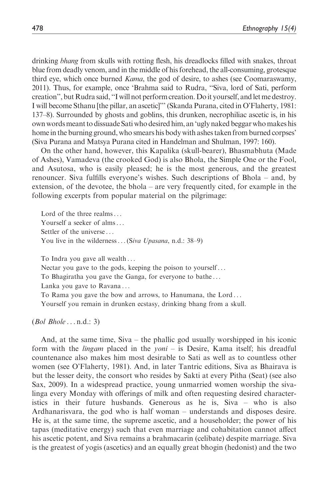drinking *bhang* from skulls with rotting flesh, his dreadlocks filled with snakes, throat blue from deadly venom, and in the middle of his forehead, the all-consuming, grotesque third eye, which once burned Kama, the god of desire, to ashes (see Coomaraswamy, 2011). Thus, for example, once 'Brahma said to Rudra, ''Siva, lord of Sati, perform creation", but Rudra said, "I will not perform creation. Do it yourself, and let me destroy. I will become Sthanu [the pillar, an ascetic]''' (Skanda Purana, cited in O'Flaherty, 1981: 137–8). Surrounded by ghosts and goblins, this drunken, necrophiliac ascetic is, in his own words meant to dissuade Sati who desired him, an 'ugly naked beggar who makes his home in the burning ground, who smears his body with ashes taken from burned corpses' (Siva Purana and Matsya Purana cited in Handelman and Shulman, 1997: 160).

On the other hand, however, this Kapalika (skull-bearer), Bhasmabhuta (Made of Ashes), Vamadeva (the crooked God) is also Bhola, the Simple One or the Fool, and Asutosa, who is easily pleased; he is the most generous, and the greatest renouncer. Siva fulfills everyone's wishes. Such descriptions of Bhola – and, by extension, of the devotee, the bhola – are very frequently cited, for example in the following excerpts from popular material on the pilgrimage:

Lord of the three realms... Yourself a seeker of alms... Settler of the universe ... You live in the wilderness... (Siva Upasana, n.d.: 38–9)

To Indra you gave all wealth ...

Nectar you gave to the gods, keeping the poison to yourself ...

To Bhagiratha you gave the Ganga, for everyone to bathe ...

Lanka you gave to Ravana ...

To Rama you gave the bow and arrows, to Hanumana, the Lord ...

Yourself you remain in drunken ecstasy, drinking bhang from a skull.

 $(Bol\ Bhole \dots n.d.: 3)$ 

And, at the same time, Siva – the phallic god usually worshipped in his iconic form with the *lingam* placed in the *yoni* – is Desire, Kama itself; his dreadful countenance also makes him most desirable to Sati as well as to countless other women (see O'Flaherty, 1981). And, in later Tantric editions, Siva as Bhairava is but the lesser deity, the consort who resides by Sakti at every Pitha (Seat) (see also Sax, 2009). In a widespread practice, young unmarried women worship the sivalinga every Monday with offerings of milk and often requesting desired characteristics in their future husbands. Generous as he is, Siva – who is also Ardhanarisvara, the god who is half woman – understands and disposes desire. He is, at the same time, the supreme ascetic, and a householder; the power of his tapas (meditative energy) such that even marriage and cohabitation cannot affect his ascetic potent, and Siva remains a brahmacarin (celibate) despite marriage. Siva is the greatest of yogis (ascetics) and an equally great bhogin (hedonist) and the two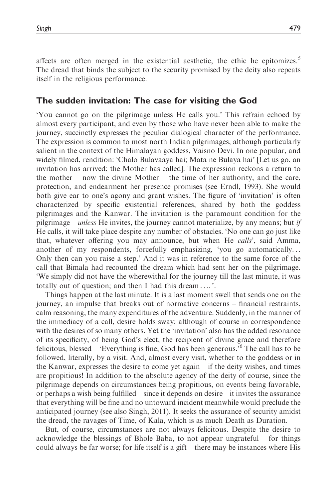affects are often merged in the existential aesthetic, the ethic he epitomizes.<sup>5</sup> The dread that binds the subject to the security promised by the deity also repeats itself in the religious performance.

## The sudden invitation: The case for visiting the God

'You cannot go on the pilgrimage unless He calls you.' This refrain echoed by almost every participant, and even by those who have never been able to make the journey, succinctly expresses the peculiar dialogical character of the performance. The expression is common to most north Indian pilgrimages, although particularly salient in the context of the Himalayan goddess, Vaisno Devi. In one popular, and widely filmed, rendition: 'Chalo Bulavaaya hai; Mata ne Bulaya hai' [Let us go, an invitation has arrived; the Mother has called]. The expression reckons a return to the mother – now the divine Mother – the time of her authority, and the care, protection, and endearment her presence promises (see Erndl, 1993). She would both give ear to one's agony and grant wishes. The figure of 'invitation' is often characterized by specific existential references, shared by both the goddess pilgrimages and the Kanwar. The invitation is the paramount condition for the pilgrimage – *unless* He invites, the journey cannot materialize, by any means; but *if* He calls, it will take place despite any number of obstacles. 'No one can go just like that, whatever offering you may announce, but when He calls', said Amma, another of my respondents, forcefully emphasizing, 'you go automatically... Only then can you raise a step.' And it was in reference to the same force of the call that Bimala had recounted the dream which had sent her on the pilgrimage. 'We simply did not have the wherewithal for the journey till the last minute, it was totally out of question; and then I had this dream .... '.

Things happen at the last minute. It is a last moment swell that sends one on the journey, an impulse that breaks out of normative concerns – financial restraints, calm reasoning, the many expenditures of the adventure. Suddenly, in the manner of the immediacy of a call, desire holds sway; although of course in correspondence with the desires of so many others. Yet the 'invitation' also has the added resonance of its specificity, of being God's elect, the recipient of divine grace and therefore felicitous, blessed – 'Everything is fine, God has been generous.'<sup>6</sup> The call has to be followed, literally, by a visit. And, almost every visit, whether to the goddess or in the Kanwar, expresses the desire to come yet again – if the deity wishes, and times are propitious! In addition to the absolute agency of the deity of course, since the pilgrimage depends on circumstances being propitious, on events being favorable, or perhaps a wish being fulfilled – since it depends on desire – it invites the assurance that everything will be fine and no untoward incident meanwhile would preclude the anticipated journey (see also Singh, 2011). It seeks the assurance of security amidst the dread, the ravages of Time, of Kala, which is as much Death as Duration.

But, of course, circumstances are not always felicitous. Despite the desire to acknowledge the blessings of Bhole Baba, to not appear ungrateful – for things could always be far worse; for life itself is a gift – there may be instances where His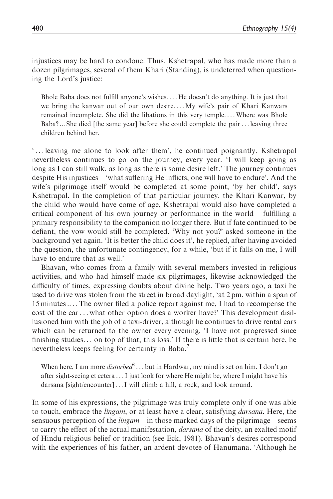injustices may be hard to condone. Thus, Kshetrapal, who has made more than a dozen pilgrimages, several of them Khari (Standing), is undeterred when questioning the Lord's justice:

Bhole Baba does not fulfill anyone's wishes. ... He doesn't do anything. It is just that we bring the kanwar out of our own desire. ... My wife's pair of Khari Kanwars remained incomplete. She did the libations in this very temple. ... Where was Bhole Baba? ... She died [the same year] before she could complete the pair... leaving three children behind her.

' ... leaving me alone to look after them', he continued poignantly. Kshetrapal nevertheless continues to go on the journey, every year. 'I will keep going as long as I can still walk, as long as there is some desire left.' The journey continues despite His injustices – 'what suffering He inflicts, one will have to endure'. And the wife's pilgrimage itself would be completed at some point, 'by her child', says Kshetrapal. In the completion of that particular journey, the Khari Kanwar, by the child who would have come of age, Kshetrapal would also have completed a critical component of his own journey or performance in the world – fulfilling a primary responsibility to the companion no longer there. But if fate continued to be defiant, the vow would still be completed. 'Why not you?' asked someone in the background yet again. 'It is better the child does it', he replied, after having avoided the question, the unfortunate contingency, for a while, 'but if it falls on me, I will have to endure that as well.'

Bhavan, who comes from a family with several members invested in religious activities, and who had himself made six pilgrimages, likewise acknowledged the difficulty of times, expressing doubts about divine help. Two years ago, a taxi he used to drive was stolen from the street in broad daylight, 'at 2 pm, within a span of 15 minutes .... The owner filed a police report against me, I had to recompense the cost of the car... what other option does a worker have?' This development disillusioned him with the job of a taxi-driver, although he continues to drive rental cars which can be returned to the owner every evening. 'I have not progressed since finishing studies... on top of that, this loss.' If there is little that is certain here, he nevertheless keeps feeling for certainty in Baba.<sup>7</sup>

When here, I am more *disturbed*<sup>8</sup>... but in Hardwar, my mind is set on him. I don't go after sight-seeing et cetera ...I just look for where He might be, where I might have his darsana [sight/encounter] ...I will climb a hill, a rock, and look around.

In some of his expressions, the pilgrimage was truly complete only if one was able to touch, embrace the *lingam*, or at least have a clear, satisfying *darsana*. Here, the sensuous perception of the *lingam* – in those marked days of the pilgrimage – seems to carry the effect of the actual manifestation, *darsana* of the deity, an exalted motif of Hindu religious belief or tradition (see Eck, 1981). Bhavan's desires correspond with the experiences of his father, an ardent devotee of Hanumana. 'Although he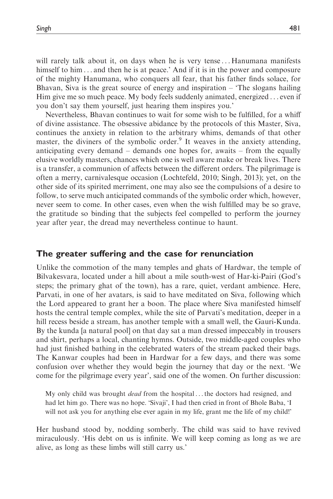will rarely talk about it, on days when he is very tense ... Hanumana manifests himself to him  $\dots$  and then he is at peace.' And if it is in the power and composure of the mighty Hanumana, who conquers all fear, that his father finds solace, for Bhavan, Siva is the great source of energy and inspiration – 'The slogans hailing Him give me so much peace. My body feels suddenly animated, energized ... even if you don't say them yourself, just hearing them inspires you.'

Nevertheless, Bhavan continues to wait for some wish to be fulfilled, for a whiff of divine assistance. The obsessive abidance by the protocols of this Master, Siva, continues the anxiety in relation to the arbitrary whims, demands of that other master, the diviners of the symbolic order.<sup>9</sup> It weaves in the anxiety attending, anticipating every demand – demands one hopes for, awaits – from the equally elusive worldly masters, chances which one is well aware make or break lives. There is a transfer, a communion of affects between the different orders. The pilgrimage is often a merry, carnivalesque occasion (Lochtefeld, 2010; Singh, 2013); yet, on the other side of its spirited merriment, one may also see the compulsions of a desire to follow, to serve much anticipated commands of the symbolic order which, however, never seem to come. In other cases, even when the wish fulfilled may be so grave, the gratitude so binding that the subjects feel compelled to perform the journey year after year, the dread may nevertheless continue to haunt.

#### The greater suffering and the case for renunciation

Unlike the commotion of the many temples and ghats of Hardwar, the temple of Bilvakesvara, located under a hill about a mile south-west of Har-ki-Pairi (God's steps; the primary ghat of the town), has a rare, quiet, verdant ambience. Here, Parvati, in one of her avatars, is said to have meditated on Siva, following which the Lord appeared to grant her a boon. The place where Siva manifested himself hosts the central temple complex, while the site of Parvati's meditation, deeper in a hill recess beside a stream, has another temple with a small well, the Gauri-Kunda. By the kunda [a natural pool] on that day sat a man dressed impeccably in trousers and shirt, perhaps a local, chanting hymns. Outside, two middle-aged couples who had just finished bathing in the celebrated waters of the stream packed their bags. The Kanwar couples had been in Hardwar for a few days, and there was some confusion over whether they would begin the journey that day or the next. 'We come for the pilgrimage every year', said one of the women. On further discussion:

My only child was brought *dead* from the hospital ... the doctors had resigned, and had let him go. There was no hope. 'Sivaji', I had then cried in front of Bhole Baba, 'I will not ask you for anything else ever again in my life, grant me the life of my child!'

Her husband stood by, nodding somberly. The child was said to have revived miraculously. 'His debt on us is infinite. We will keep coming as long as we are alive, as long as these limbs will still carry us.'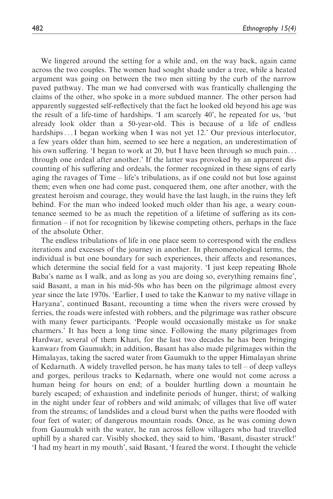We lingered around the setting for a while and, on the way back, again came across the two couples. The women had sought shade under a tree, while a heated argument was going on between the two men sitting by the curb of the narrow paved pathway. The man we had conversed with was frantically challenging the claims of the other, who spoke in a more subdued manner. The other person had apparently suggested self-reflectively that the fact he looked old beyond his age was the result of a life-time of hardships. 'I am scarcely 40', he repeated for us, 'but already look older than a 50-year-old. This is because of a life of endless hardships...I began working when I was not yet 12.' Our previous interlocutor, a few years older than him, seemed to see here a negation, an underestimation of his own suffering. 'I began to work at 20, but I have been through so much pain... through one ordeal after another.' If the latter was provoked by an apparent discounting of his suffering and ordeals, the former recognized in these signs of early aging the ravages of Time – life's tribulations, as if one could not but lose against them; even when one had come past, conquered them, one after another, with the greatest heroism and courage, they would have the last laugh, in the ruins they left behind. For the man who indeed looked much older than his age, a weary countenance seemed to be as much the repetition of a lifetime of suffering as its confirmation – if not for recognition by likewise competing others, perhaps in the face of the absolute Other.

The endless tribulations of life in one place seem to correspond with the endless iterations and excesses of the journey in another. In phenomenological terms, the individual is but one boundary for such experiences, their affects and resonances, which determine the social field for a vast majority. 'I just keep repeating Bhole Baba's name as I walk, and as long as you are doing so, everything remains fine', said Basant, a man in his mid-50s who has been on the pilgrimage almost every year since the late 1970s. 'Earlier, I used to take the Kanwar to my native village in Haryana', continued Basant, recounting a time when the rivers were crossed by ferries, the roads were infested with robbers, and the pilgrimage was rather obscure with many fewer participants. 'People would occasionally mistake us for snake charmers.' It has been a long time since. Following the many pilgrimages from Hardwar, several of them Khari, for the last two decades he has been bringing kanwars from Gaumukh; in addition, Basant has also made pilgrimages within the Himalayas, taking the sacred water from Gaumukh to the upper Himalayan shrine of Kedarnath. A widely travelled person, he has many tales to tell – of deep valleys and gorges, perilous tracks to Kedarnath, where one would not come across a human being for hours on end; of a boulder hurtling down a mountain he barely escaped; of exhaustion and indefinite periods of hunger, thirst; of walking in the night under fear of robbers and wild animals; of villages that live off water from the streams; of landslides and a cloud burst when the paths were flooded with four feet of water; of dangerous mountain roads. Once, as he was coming down from Gaumukh with the water, he ran across fellow villagers who had travelled uphill by a shared car. Visibly shocked, they said to him, 'Basant, disaster struck!' 'I had my heart in my mouth', said Basant, 'I feared the worst. I thought the vehicle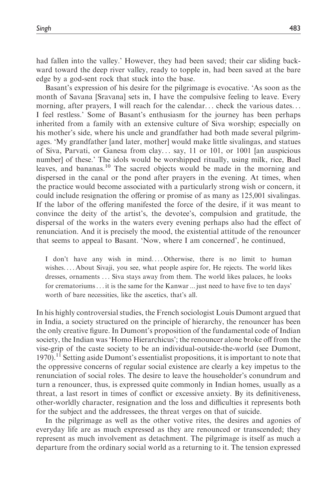had fallen into the valley.' However, they had been saved; their car sliding backward toward the deep river valley, ready to topple in, had been saved at the bare edge by a god-sent rock that stuck into the base.

Basant's expression of his desire for the pilgrimage is evocative. 'As soon as the month of Savana [Sravana] sets in, I have the compulsive feeling to leave. Every morning, after prayers, I will reach for the calendar... check the various dates... I feel restless.' Some of Basant's enthusiasm for the journey has been perhaps inherited from a family with an extensive culture of Siva worship; especially on his mother's side, where his uncle and grandfather had both made several pilgrimages. 'My grandfather [and later, mother] would make little sivalingas, and statues of Siva, Parvati, or Ganesa from clay... say, 11 or 101, or 1001 [an auspicious number] of these.' The idols would be worshipped ritually, using milk, rice, Bael leaves, and bananas.<sup>10</sup> The sacred objects would be made in the morning and dispersed in the canal or the pond after prayers in the evening. At times, when the practice would become associated with a particularly strong wish or concern, it could include resignation the offering or promise of as many as 125,001 sivalingas. If the labor of the offering manifested the force of the desire, if it was meant to convince the deity of the artist's, the devotee's, compulsion and gratitude, the dispersal of the works in the waters every evening perhaps also had the effect of renunciation. And it is precisely the mood, the existential attitude of the renouncer that seems to appeal to Basant. 'Now, where I am concerned', he continued,

I don't have any wish in mind. ... Otherwise, there is no limit to human wishes. ... About Sivaji, you see, what people aspire for, He rejects. The world likes dresses, ornaments ... Siva stays away from them. The world likes palaces, he looks for crematoriums... it is the same for the Kanwar ... just need to have five to ten days' worth of bare necessities, like the ascetics, that's all.

In his highly controversial studies, the French sociologist Louis Dumont argued that in India, a society structured on the principle of hierarchy, the renouncer has been the only creative figure. In Dumont's proposition of the fundamental code of Indian society, the Indian was 'Homo Hierarchicus'; the renouncer alone broke off from the vise-grip of the caste society to be an individual-outside-the-world (see Dumont,  $1970$ ).<sup>11</sup> Setting aside Dumont's essentialist propositions, it is important to note that the oppressive concerns of regular social existence are clearly a key impetus to the renunciation of social roles. The desire to leave the householder's conundrum and turn a renouncer, thus, is expressed quite commonly in Indian homes, usually as a threat, a last resort in times of conflict or excessive anxiety. By its definitiveness, other-worldly character, resignation and the loss and difficulties it represents both for the subject and the addressees, the threat verges on that of suicide.

In the pilgrimage as well as the other votive rites, the desires and agonies of everyday life are as much expressed as they are renounced or transcended; they represent as much involvement as detachment. The pilgrimage is itself as much a departure from the ordinary social world as a returning to it. The tension expressed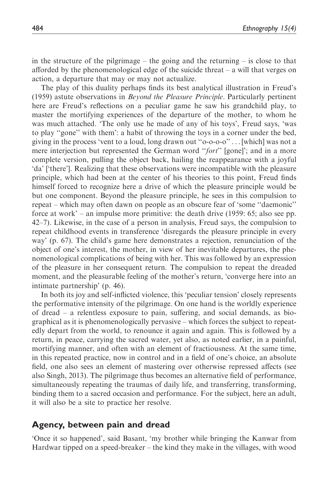in the structure of the pilgrimage – the going and the returning – is close to that afforded by the phenomenological edge of the suicide threat  $-$  a will that verges on action, a departure that may or may not actualize.

The play of this duality perhaps finds its best analytical illustration in Freud's (1959) astute observations in Beyond the Pleasure Principle. Particularly pertinent here are Freud's reflections on a peculiar game he saw his grandchild play, to master the mortifying experiences of the departure of the mother, to whom he was much attached. 'The only use he made of any of his toys', Freud says, 'was to play ''gone'' with them': a habit of throwing the toys in a corner under the bed, giving in the process 'vent to a loud, long drawn out ''o-o-o-o'' ... [which] was not a mere interjection but represented the German word "fort" [gone]'; and in a more complete version, pulling the object back, hailing the reappearance with a joyful 'da' ['there']. Realizing that these observations were incompatible with the pleasure principle, which had been at the center of his theories to this point, Freud finds himself forced to recognize here a drive of which the pleasure principle would be but one component. Beyond the pleasure principle, he sees in this compulsion to repeat – which may often dawn on people as an obscure fear of 'some ''daemonic'' force at work' – an impulse more primitive: the death drive (1959: 65; also see pp. 42–7). Likewise, in the case of a person in analysis, Freud says, the compulsion to repeat childhood events in transference 'disregards the pleasure principle in every way' (p. 67). The child's game here demonstrates a rejection, renunciation of the object of one's interest, the mother, in view of her inevitable departures, the phenomenological complications of being with her. This was followed by an expression of the pleasure in her consequent return. The compulsion to repeat the dreaded moment, and the pleasurable feeling of the mother's return, 'converge here into an intimate partnership' (p. 46).

In both its joy and self-inflicted violence, this 'peculiar tension' closely represents the performative intensity of the pilgrimage. On one hand is the worldly experience of dread – a relentless exposure to pain, suffering, and social demands, as biographical as it is phenomenologically pervasive – which forces the subject to repeatedly depart from the world, to renounce it again and again. This is followed by a return, in peace, carrying the sacred water, yet also, as noted earlier, in a painful, mortifying manner, and often with an element of fractiousness. At the same time, in this repeated practice, now in control and in a field of one's choice, an absolute field, one also sees an element of mastering over otherwise repressed affects (see also Singh, 2013). The pilgrimage thus becomes an alternative field of performance, simultaneously repeating the traumas of daily life, and transferring, transforming, binding them to a sacred occasion and performance. For the subject, here an adult, it will also be a site to practice her resolve.

## Agency, between pain and dread

'Once it so happened', said Basant, 'my brother while bringing the Kanwar from Hardwar tipped on a speed-breaker – the kind they make in the villages, with wood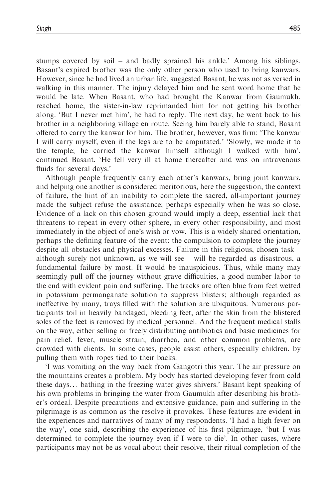stumps covered by soil – and badly sprained his ankle.' Among his siblings, Basant's expired brother was the only other person who used to bring kanwars. However, since he had lived an urban life, suggested Basant, he was not as versed in walking in this manner. The injury delayed him and he sent word home that he would be late. When Basant, who had brought the Kanwar from Gaumukh, reached home, the sister-in-law reprimanded him for not getting his brother along. 'But I never met him', he had to reply. The next day, he went back to his brother in a neighboring village en route. Seeing him barely able to stand, Basant offered to carry the kanwar for him. The brother, however, was firm: 'The kanwar I will carry myself, even if the legs are to be amputated.' 'Slowly, we made it to the temple; he carried the kanwar himself although I walked with him', continued Basant. 'He fell very ill at home thereafter and was on intravenous fluids for several days.'

Although people frequently carry each other's kanwars, bring joint kanwars, and helping one another is considered meritorious, here the suggestion, the context of failure, the hint of an inability to complete the sacred, all-important journey made the subject refuse the assistance; perhaps especially when he was so close. Evidence of a lack on this chosen ground would imply a deep, essential lack that threatens to repeat in every other sphere, in every other responsibility, and most immediately in the object of one's wish or vow. This is a widely shared orientation, perhaps the defining feature of the event: the compulsion to complete the journey despite all obstacles and physical excesses. Failure in this religious, chosen task – although surely not unknown, as we will see  $-$  will be regarded as disastrous, a fundamental failure by most. It would be inauspicious. Thus, while many may seemingly pull off the journey without grave difficulties, a good number labor to the end with evident pain and suffering. The tracks are often blue from feet wetted in potassium permanganate solution to suppress blisters; although regarded as ineffective by many, trays filled with the solution are ubiquitous. Numerous participants toil in heavily bandaged, bleeding feet, after the skin from the blistered soles of the feet is removed by medical personnel. And the frequent medical stalls on the way, either selling or freely distributing antibiotics and basic medicines for pain relief, fever, muscle strain, diarrhea, and other common problems, are crowded with clients. In some cases, people assist others, especially children, by pulling them with ropes tied to their backs.

'I was vomiting on the way back from Gangotri this year. The air pressure on the mountains creates a problem. My body has started developing fever from cold these days... bathing in the freezing water gives shivers.' Basant kept speaking of his own problems in bringing the water from Gaumukh after describing his brother's ordeal. Despite precautions and extensive guidance, pain and suffering in the pilgrimage is as common as the resolve it provokes. These features are evident in the experiences and narratives of many of my respondents. 'I had a high fever on the way', one said, describing the experience of his first pilgrimage, 'but I was determined to complete the journey even if I were to die'. In other cases, where participants may not be as vocal about their resolve, their ritual completion of the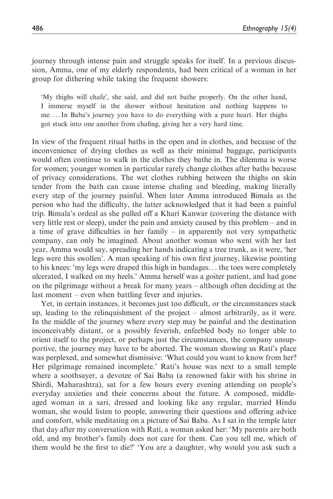journey through intense pain and struggle speaks for itself. In a previous discussion, Amma, one of my elderly respondents, had been critical of a woman in her group for dithering while taking the frequent showers:

'My thighs will chafe', she said, and did not bathe properly. On the other hand, I immerse myself in the shower without hesitation and nothing happens to me. ...In Baba's journey you have to do everything with a pure heart. Her thighs got stuck into one another from chafing, giving her a very hard time.

In view of the frequent ritual baths in the open and in clothes, and because of the inconvenience of drying clothes as well as their minimal baggage, participants would often continue to walk in the clothes they bathe in. The dilemma is worse for women; younger women in particular rarely change clothes after baths because of privacy considerations. The wet clothes rubbing between the thighs on skin tender from the bath can cause intense chafing and bleeding, making literally every step of the journey painful. When later Amma introduced Bimala as the person who had the difficulty, the latter acknowledged that it had been a painful trip. Bimala's ordeal as she pulled off a Khari Kanwar (covering the distance with very little rest or sleep), under the pain and anxiety caused by this problem – and in a time of grave difficulties in her family – in apparently not very sympathetic company, can only be imagined. About another woman who went with her last year, Amma would say, spreading her hands indicating a tree trunk, as it were, 'her legs were this swollen'. A man speaking of his own first journey, likewise pointing to his knees: 'my legs were draped this high in bandages... the toes were completely ulcerated, I walked on my heels.' Amma herself was a goiter patient, and had gone on the pilgrimage without a break for many years – although often deciding at the last moment – even when battling fever and injuries.

Yet, in certain instances, it becomes just too difficult, or the circumstances stack up, leading to the relinquishment of the project – almost arbitrarily, as it were. In the middle of the journey where every step may be painful and the destination inconceivably distant, or a possibly feverish, enfeebled body no longer able to orient itself to the project, or perhaps just the circumstances, the company unsupportive, the journey may have to be aborted. The woman showing us Rati's place was perplexed, and somewhat dismissive: 'What could you want to know from her? Her pilgrimage remained incomplete.' Rati's house was next to a small temple where a soothsayer, a devotee of Sai Baba (a renowned fakir with his shrine in Shirdi, Maharashtra), sat for a few hours every evening attending on people's everyday anxieties and their concerns about the future. A composed, middleaged woman in a sari, dressed and looking like any regular, married Hindu woman, she would listen to people, answering their questions and offering advice and comfort, while meditating on a picture of Sai Baba. As I sat in the temple later that day after my conversation with Rati, a woman asked her: 'My parents are both old, and my brother's family does not care for them. Can you tell me, which of them would be the first to die?' 'You are a daughter, why would you ask such a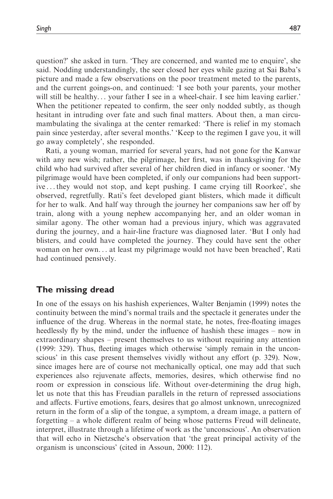question?' she asked in turn. 'They are concerned, and wanted me to enquire', she said. Nodding understandingly, the seer closed her eyes while gazing at Sai Baba's picture and made a few observations on the poor treatment meted to the parents, and the current goings-on, and continued: 'I see both your parents, your mother will still be healthy... your father I see in a wheel-chair. I see him leaving earlier.' When the petitioner repeated to confirm, the seer only nodded subtly, as though hesitant in intruding over fate and such final matters. About then, a man circumambulating the sivalinga at the center remarked: 'There is relief in my stomach pain since yesterday, after several months.' 'Keep to the regimen I gave you, it will go away completely', she responded.

Rati, a young woman, married for several years, had not gone for the Kanwar with any new wish; rather, the pilgrimage, her first, was in thanksgiving for the child who had survived after several of her children died in infancy or sooner. 'My pilgrimage would have been completed, if only our companions had been supportive ... they would not stop, and kept pushing. I came crying till Roorkee', she observed, regretfully. Rati's feet developed giant blisters, which made it difficult for her to walk. And half way through the journey her companions saw her off by train, along with a young nephew accompanying her, and an older woman in similar agony. The other woman had a previous injury, which was aggravated during the journey, and a hair-line fracture was diagnosed later. 'But I only had blisters, and could have completed the journey. They could have sent the other woman on her own... at least my pilgrimage would not have been breached', Rati had continued pensively.

#### The missing dread

In one of the essays on his hashish experiences, Walter Benjamin (1999) notes the continuity between the mind's normal trails and the spectacle it generates under the influence of the drug. Whereas in the normal state, he notes, free-floating images heedlessly fly by the mind, under the influence of hashish these images – now in extraordinary shapes – present themselves to us without requiring any attention (1999: 329). Thus, fleeting images which otherwise 'simply remain in the unconscious' in this case present themselves vividly without any effort (p. 329). Now, since images here are of course not mechanically optical, one may add that such experiences also rejuvenate affects, memories, desires, which otherwise find no room or expression in conscious life. Without over-determining the drug high, let us note that this has Freudian parallels in the return of repressed associations and affects. Furtive emotions, fears, desires that go almost unknown, unrecognized return in the form of a slip of the tongue, a symptom, a dream image, a pattern of forgetting – a whole different realm of being whose patterns Freud will delineate, interpret, illustrate through a lifetime of work as the 'unconscious'. An observation that will echo in Nietzsche's observation that 'the great principal activity of the organism is unconscious' (cited in Assoun, 2000: 112).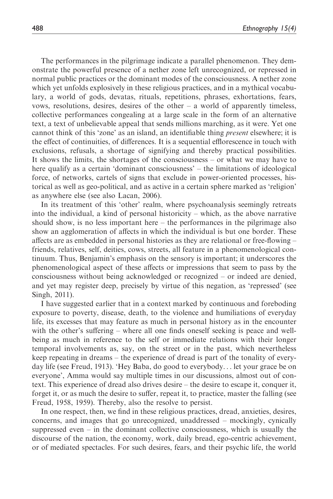The performances in the pilgrimage indicate a parallel phenomenon. They demonstrate the powerful presence of a nether zone left unrecognized, or repressed in normal public practices or the dominant modes of the consciousness. A nether zone which yet unfolds explosively in these religious practices, and in a mythical vocabulary, a world of gods, devatas, rituals, repetitions, phrases, exhortations, fears, vows, resolutions, desires, desires of the other – a world of apparently timeless, collective performances congealing at a large scale in the form of an alternative text, a text of unbelievable appeal that sends millions marching, as it were. Yet one cannot think of this 'zone' as an island, an identifiable thing *present* elsewhere; it is the effect of continuities, of differences. It is a sequential efflorescence in touch with exclusions, refusals, a shortage of signifying and thereby practical possibilities. It shows the limits, the shortages of the consciousness – or what we may have to here qualify as a certain 'dominant consciousness' – the limitations of ideological force, of networks, cartels of signs that exclude in power-oriented processes, historical as well as geo-political, and as active in a certain sphere marked as 'religion' as anywhere else (see also Lacan, 2006).

In its treatment of this 'other' realm, where psychoanalysis seemingly retreats into the individual, a kind of personal historicity – which, as the above narrative should show, is no less important here – the performances in the pilgrimage also show an agglomeration of affects in which the individual is but one border. These affects are as embedded in personal histories as they are relational or free-flowing – friends, relatives, self, deities, cows, streets, all feature in a phenomenological continuum. Thus, Benjamin's emphasis on the sensory is important; it underscores the phenomenological aspect of these affects or impressions that seem to pass by the consciousness without being acknowledged or recognized – or indeed are denied, and yet may register deep, precisely by virtue of this negation, as 'repressed' (see Singh, 2011).

I have suggested earlier that in a context marked by continuous and foreboding exposure to poverty, disease, death, to the violence and humiliations of everyday life, its excesses that may feature as much in personal history as in the encounter with the other's suffering – where all one finds oneself seeking is peace and wellbeing as much in reference to the self or immediate relations with their longer temporal involvements as, say, on the street or in the past, which nevertheless keep repeating in dreams – the experience of dread is part of the tonality of everyday life (see Freud, 1913). 'Hey Baba, do good to everybody... let your grace be on everyone', Amma would say multiple times in our discussions, almost out of context. This experience of dread also drives desire – the desire to escape it, conquer it, forget it, or as much the desire to suffer, repeat it, to practice, master the falling (see Freud, 1958, 1959). Thereby, also the resolve to persist.

In one respect, then, we find in these religious practices, dread, anxieties, desires, concerns, and images that go unrecognized, unaddressed – mockingly, cynically suppressed even  $-$  in the dominant collective consciousness, which is usually the discourse of the nation, the economy, work, daily bread, ego-centric achievement, or of mediated spectacles. For such desires, fears, and their psychic life, the world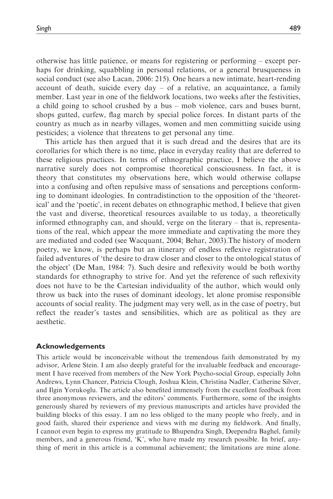otherwise has little patience, or means for registering or performing – except perhaps for drinking, squabbling in personal relations, or a general brusqueness in social conduct (see also Lacan, 2006: 215). One hears a new intimate, heart-rending account of death, suicide every day – of a relative, an acquaintance, a family member. Last year in one of the fieldwork locations, two weeks after the festivities, a child going to school crushed by a bus – mob violence, cars and buses burnt, shops gutted, curfew, flag march by special police forces. In distant parts of the country as much as in nearby villages, women and men committing suicide using pesticides; a violence that threatens to get personal any time.

This article has then argued that it is such dread and the desires that are its corollaries for which there is no time, place in everyday reality that are deferred to these religious practices. In terms of ethnographic practice, I believe the above narrative surely does not compromise theoretical consciousness. In fact, it is theory that constitutes my observations here, which would otherwise collapse into a confusing and often repulsive mass of sensations and perceptions conforming to dominant ideologies. In contradistinction to the opposition of the 'theoretical' and the 'poetic', in recent debates on ethnographic method, I believe that given the vast and diverse, theoretical resources available to us today, a theoretically informed ethnography can, and should, verge on the literary – that is, representations of the real, which appear the more immediate and captivating the more they are mediated and coded (see Wacquant, 2004; Behar, 2003).The history of modern poetry, we know, is perhaps but an itinerary of endless reflexive registration of failed adventures of 'the desire to draw closer and closer to the ontological status of the object' (De Man, 1984: 7). Such desire and reflexivity would be both worthy standards for ethnography to strive for. And yet the reference of such reflexivity does not have to be the Cartesian individuality of the author, which would only throw us back into the ruses of dominant ideology, let alone promise responsible accounts of social reality. The judgment may very well, as in the case of poetry, but reflect the reader's tastes and sensibilities, which are as political as they are aesthetic.

#### Acknowledgements

This article would be inconceivable without the tremendous faith demonstrated by my advisor, Arlene Stein. I am also deeply grateful for the invaluable feedback and encouragement I have received from members of the New York Psycho-social Group, especially John Andrews, Lynn Chancer, Patricia Clough, Joshua Klein, Christina Nadler, Catherine Silver, and Ilgin Yorukoglu. The article also benefited immensely from the excellent feedback from three anonymous reviewers, and the editors' comments. Furthermore, some of the insights generously shared by reviewers of my previous manuscripts and articles have provided the building blocks of this essay. I am no less obliged to the many people who freely, and in good faith, shared their experience and views with me during my fieldwork. And finally, I cannot even begin to express my gratitude to Bhupendra Singh, Deependra Baghel, family members, and a generous friend, 'K', who have made my research possible. In brief, anything of merit in this article is a communal achievement; the limitations are mine alone.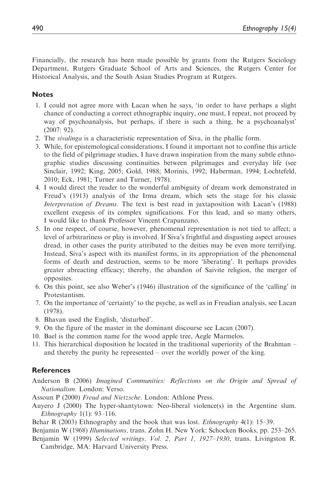Financially, the research has been made possible by grants from the Rutgers Sociology Department, Rutgers Graduate School of Arts and Sciences, the Rutgers Center for Historical Analysis, and the South Asian Studies Program at Rutgers.

#### **Notes**

- 1. I could not agree more with Lacan when he says, 'in order to have perhaps a slight chance of conducting a correct ethnographic inquiry, one must, I repeat, not proceed by way of psychoanalysis, but perhaps, if there is such a thing, be a psychoanalyst'  $(2007: 92)$ .
- 2. The sivalinga is a characteristic representation of Siva, in the phallic form.
- 3. While, for epistemological considerations, I found it important not to confine this article to the field of pilgrimage studies, I have drawn inspiration from the many subtle ethnographic studies discussing continuities between pilgrimages and everyday life (see Sinclair, 1992; King, 2005; Gold, 1988; Morinis, 1992; Haberman, 1994; Lochtefeld, 2010; Eck, 1981; Turner and Turner, 1978).
- 4. I would direct the reader to the wonderful ambiguity of dream work demonstrated in Freud's (1913) analysis of the Irma dream, which sets the stage for his classic Interpretation of Dreams. The text is best read in juxtaposition with Lacan's (1988) excellent exegesis of its complex significations. For this lead, and so many others, I would like to thank Professor Vincent Crapanzano.
- 5. In one respect, of course, however, phenomenal representation is not tied to affect; a level of arbitrariness or play is involved. If Siva's frightful and disgusting aspect arouses dread, in other cases the purity attributed to the deities may be even more terrifying. Instead, Siva's aspect with its manifest forms, in its appropriation of the phenomenal forms of death and destruction, seems to be more 'liberating'. It perhaps provides greater abreacting efficacy; thereby, the abandon of Saivite religion, the merger of opposites.
- 6. On this point, see also Weber's (1946) illustration of the significance of the 'calling' in Protestantism.
- 7. On the importance of 'certainty' to the psyche, as well as in Freudian analysis, see Lacan (1978).
- 8. Bhavan used the English, 'disturbed'.
- 9. On the figure of the master in the dominant discourse see Lacan (2007).
- 10. Bael is the common name for the wood apple tree, Aegle Marmelos.
- 11. This hierarchical disposition he located in the traditional superiority of the Brahman and thereby the purity he represented – over the worldly power of the king.

## **References**

- Anderson B (2006) Imagined Communities: Reflections on the Origin and Spread of Nationalism. London: Verso.
- Assoun P (2000) Freud and Nietzsche. London: Athlone Press.
- Auyero J (2000) The hyper-shantytown: Neo-liberal violence(s) in the Argentine slum. *Ethnography*  $1(1)$ : 93–116.
- Behar R (2003) Ethnography and the book that was lost. Ethnography 4(1): 15–39.
- Benjamin W (1968) Illuminations, trans. Zohn H. New York: Schocken Books, pp. 253–265.
- Benjamin W (1999) Selected writings, Vol. 2, Part 1, 1927–1930, trans. Livingston R. Cambridge, MA: Harvard University Press.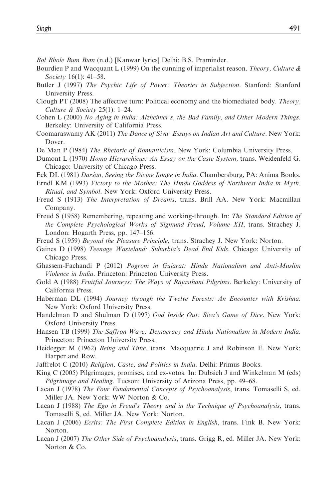- Bol Bhole Bum Bum (n.d.) [Kanwar lyrics] Delhi: B.S. Praminder.
- Bourdieu P and Wacquant L (1999) On the cunning of imperialist reason. Theory, Culture  $\&$ Society 16(1): 41–58.
- Butler J (1997) The Psychic Life of Power: Theories in Subjection. Stanford: Stanford University Press.
- Clough PT (2008) The affective turn: Political economy and the biomediated body. Theory, Culture & Society 25(1): 1–24.
- Cohen L (2000) No Aging in India: Alzheimer's, the Bad Family, and Other Modern Things. Berkeley: University of California Press.
- Coomaraswamy AK (2011) The Dance of Siva: Essays on Indian Art and Culture. New York: Dover.
- De Man P (1984) The Rhetoric of Romanticism. New York: Columbia University Press.
- Dumont L (1970) Homo Hierarchicus: An Essay on the Caste System, trans. Weidenfeld G. Chicago: University of Chicago Press.
- Eck DL (1981) Dars´an, Seeing the Divine Image in India. Chambersburg, PA: Anima Books.
- Erndl KM (1993) Victory to the Mother: The Hindu Goddess of Northwest India in Myth, Ritual, and Symbol. New York: Oxford University Press.
- Freud S (1913) The Interpretation of Dreams, trans. Brill AA. New York: Macmillan Company.
- Freud S (1958) Remembering, repeating and working-through. In: The Standard Edition of the Complete Psychological Works of Sigmund Freud, Volume XII, trans. Strachey J. London: Hogarth Press, pp. 147–156.
- Freud S (1959) Beyond the Pleasure Principle, trans. Strachey J. New York: Norton.
- Gaines D (1998) Teenage Wasteland: Suburbia's Dead End Kids. Chicago: University of Chicago Press.
- Ghassem-Fachandi P (2012) Pogrom in Gujarat: Hindu Nationalism and Anti-Muslim Violence in India. Princeton: Princeton University Press.
- Gold A (1988) Fruitful Journeys: The Ways of Rajasthani Pilgrims. Berkeley: University of California Press.
- Haberman DL (1994) Journey through the Twelve Forests: An Encounter with Krishna. New York: Oxford University Press.
- Handelman D and Shulman D (1997) God Inside Out: Siva's Game of Dice. New York: Oxford University Press.
- Hansen TB (1999) The Saffron Wave: Democracy and Hindu Nationalism in Modern India. Princeton: Princeton University Press.
- Heidegger M (1962) Being and Time, trans. Macquarrie J and Robinson E. New York: Harper and Row.
- Jaffrelot C (2010) Religion, Caste, and Politics in India. Delhi: Primus Books.
- King C (2005) Pilgrimages, promises, and ex-votos. In: Dubsich J and Winkelman M (eds) Pilgrimage and Healing. Tucson: University of Arizona Press, pp. 49-68.
- Lacan J (1978) The Four Fundamental Concepts of Psychoanalysis, trans. Tomaselli S, ed. Miller JA. New York: WW Norton & Co.
- Lacan J (1988) The Ego in Freud's Theory and in the Technique of Psychoanalysis, trans. Tomaselli S, ed. Miller JA. New York: Norton.
- Lacan J (2006) Ecrits: The First Complete Edition in English, trans. Fink B. New York: Norton.
- Lacan J (2007) The Other Side of Psychoanalysis, trans. Grigg R, ed. Miller JA. New York: Norton & Co.